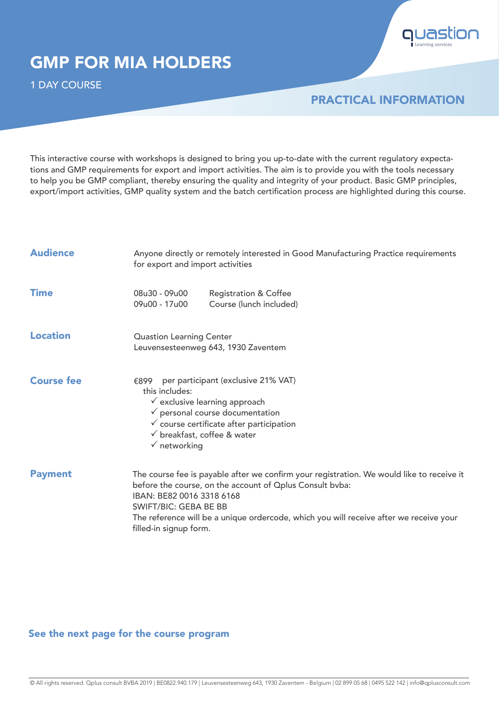

# GMP FOR MIA HOLDERS

1 DAY COURSE

## PRACTICAL INFORMATION

This interactive course with workshops is designed to bring you up-to-date with the current regulatory expectations and GMP requirements for export and import activities. The aim is to provide you with the tools necessary to help you be GMP compliant, thereby ensuring the quality and integrity of your product. Basic GMP principles, export/import activities, GMP quality system and the batch certification process are highlighted during this course.

| <b>Audience</b>   | Anyone directly or remotely interested in Good Manufacturing Practice requirements<br>for export and import activities                                                                                                                                                                                                                 |  |  |  |  |
|-------------------|----------------------------------------------------------------------------------------------------------------------------------------------------------------------------------------------------------------------------------------------------------------------------------------------------------------------------------------|--|--|--|--|
| <b>Time</b>       | 08u30 - 09u00<br><b>Registration &amp; Coffee</b><br>09u00 - 17u00<br>Course (lunch included)                                                                                                                                                                                                                                          |  |  |  |  |
| <b>Location</b>   | <b>Quastion Learning Center</b><br>Leuvensesteenweg 643, 1930 Zaventem                                                                                                                                                                                                                                                                 |  |  |  |  |
| <b>Course fee</b> | per participant (exclusive 21% VAT)<br>€899<br>this includes:<br>$\checkmark$ exclusive learning approach<br>$\checkmark$ personal course documentation<br>$\checkmark$ course certificate after participation<br>$\checkmark$ breakfast, coffee & water<br>$\checkmark$ networking                                                    |  |  |  |  |
| <b>Payment</b>    | The course fee is payable after we confirm your registration. We would like to receive it<br>before the course, on the account of Oplus Consult bvba:<br>IBAN: BE82 0016 3318 6168<br><b>SWIFT/BIC: GEBA BE BB</b><br>The reference will be a unique ordercode, which you will receive after we receive your<br>filled-in signup form. |  |  |  |  |

## See the next page for the course program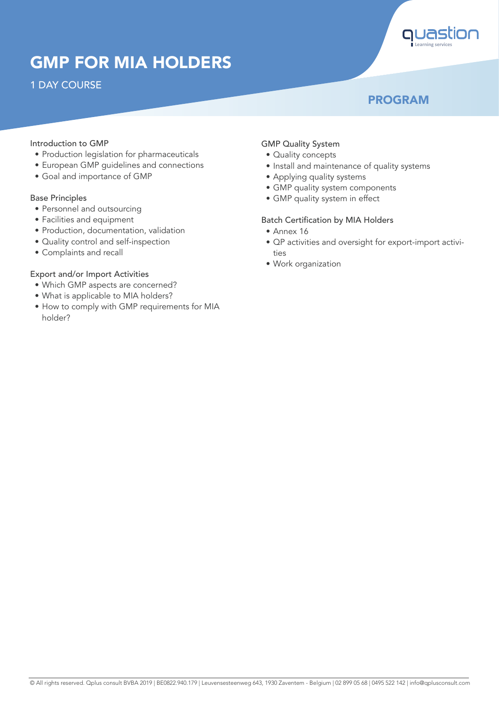# GMP FOR MIA HOLDERS

## 1 DAY COURSE

## PROGRAM

**Learning services**

#### Introduction to GMP

- Production legislation for pharmaceuticals
- European GMP guidelines and connections
- Goal and importance of GMP

#### Base Principles

- Personnel and outsourcing
- Facilities and equipment
- Production, documentation, validation
- Quality control and self-inspection
- Complaints and recall

#### Export and/or Import Activities

- Which GMP aspects are concerned?
- What is applicable to MIA holders?
- How to comply with GMP requirements for MIA holder?

#### GMP Quality System

- Quality concepts
- Install and maintenance of quality systems
- Applying quality systems
- GMP quality system components
- GMP quality system in effect

#### Batch Certification by MIA Holders

- Annex 16
- QP activities and oversight for export-import activities
- Work organization